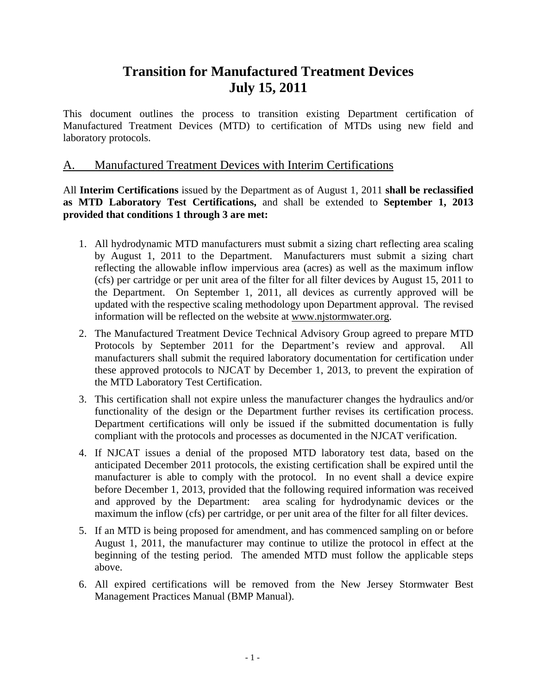# **Transition for Manufactured Treatment Devices July 15, 2011**

This document outlines the process to transition existing Department certification of Manufactured Treatment Devices (MTD) to certification of MTDs using new field and laboratory protocols.

### A. Manufactured Treatment Devices with Interim Certifications

All **Interim Certifications** issued by the Department as of August 1, 2011 **shall be reclassified as MTD Laboratory Test Certifications,** and shall be extended to **September 1, 2013 provided that conditions 1 through 3 are met:** 

- 1. All hydrodynamic MTD manufacturers must submit a sizing chart reflecting area scaling by August 1, 2011 to the Department. Manufacturers must submit a sizing chart reflecting the allowable inflow impervious area (acres) as well as the maximum inflow (cfs) per cartridge or per unit area of the filter for all filter devices by August 15, 2011 to the Department. On September 1, 2011, all devices as currently approved will be updated with the respective scaling methodology upon Department approval. The revised information will be reflected on the website at [www.njstormwater.org.](http://www.njstormwater.org/)
- 2. The Manufactured Treatment Device Technical Advisory Group agreed to prepare MTD Protocols by September 2011 for the Department's review and approval. All manufacturers shall submit the required laboratory documentation for certification under these approved protocols to NJCAT by December 1, 2013, to prevent the expiration of the MTD Laboratory Test Certification.
- 3. This certification shall not expire unless the manufacturer changes the hydraulics and/or functionality of the design or the Department further revises its certification process. Department certifications will only be issued if the submitted documentation is fully compliant with the protocols and processes as documented in the NJCAT verification.
- 4. If NJCAT issues a denial of the proposed MTD laboratory test data, based on the anticipated December 2011 protocols, the existing certification shall be expired until the manufacturer is able to comply with the protocol. In no event shall a device expire before December 1, 2013, provided that the following required information was received and approved by the Department: area scaling for hydrodynamic devices or the maximum the inflow (cfs) per cartridge, or per unit area of the filter for all filter devices.
- 5. If an MTD is being proposed for amendment, and has commenced sampling on or before August 1, 2011, the manufacturer may continue to utilize the protocol in effect at the beginning of the testing period. The amended MTD must follow the applicable steps above.
- 6. All expired certifications will be removed from the New Jersey Stormwater Best Management Practices Manual (BMP Manual).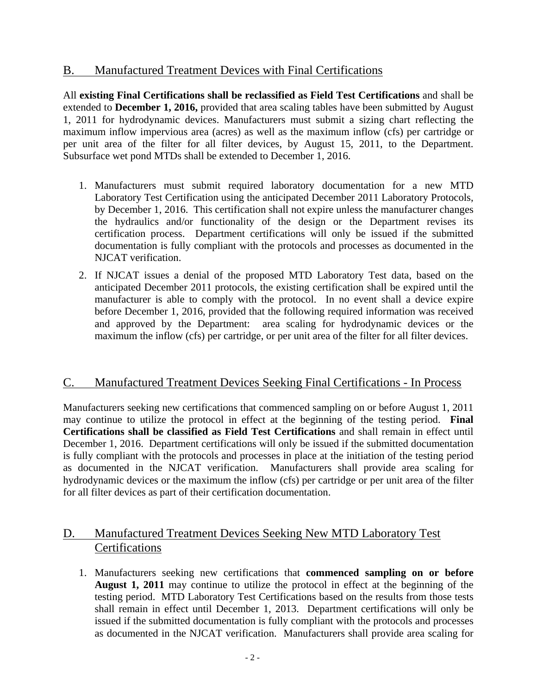### B. Manufactured Treatment Devices with Final Certifications

All **existing Final Certifications shall be reclassified as Field Test Certifications** and shall be extended to **December 1, 2016,** provided that area scaling tables have been submitted by August 1, 2011 for hydrodynamic devices. Manufacturers must submit a sizing chart reflecting the maximum inflow impervious area (acres) as well as the maximum inflow (cfs) per cartridge or per unit area of the filter for all filter devices, by August 15, 2011, to the Department. Subsurface wet pond MTDs shall be extended to December 1, 2016.

- 1. Manufacturers must submit required laboratory documentation for a new MTD Laboratory Test Certification using the anticipated December 2011 Laboratory Protocols, by December 1, 2016. This certification shall not expire unless the manufacturer changes the hydraulics and/or functionality of the design or the Department revises its certification process. Department certifications will only be issued if the submitted documentation is fully compliant with the protocols and processes as documented in the NJCAT verification.
- 2. If NJCAT issues a denial of the proposed MTD Laboratory Test data, based on the anticipated December 2011 protocols, the existing certification shall be expired until the manufacturer is able to comply with the protocol. In no event shall a device expire before December 1, 2016, provided that the following required information was received and approved by the Department: area scaling for hydrodynamic devices or the maximum the inflow (cfs) per cartridge, or per unit area of the filter for all filter devices.

### C. Manufactured Treatment Devices Seeking Final Certifications - In Process

Manufacturers seeking new certifications that commenced sampling on or before August 1, 2011 may continue to utilize the protocol in effect at the beginning of the testing period. **Final Certifications shall be classified as Field Test Certifications** and shall remain in effect until December 1, 2016. Department certifications will only be issued if the submitted documentation is fully compliant with the protocols and processes in place at the initiation of the testing period as documented in the NJCAT verification. Manufacturers shall provide area scaling for hydrodynamic devices or the maximum the inflow (cfs) per cartridge or per unit area of the filter for all filter devices as part of their certification documentation.

## D. Manufactured Treatment Devices Seeking New MTD Laboratory Test **Certifications**

1. Manufacturers seeking new certifications that **commenced sampling on or before August 1, 2011** may continue to utilize the protocol in effect at the beginning of the testing period. MTD Laboratory Test Certifications based on the results from those tests shall remain in effect until December 1, 2013. Department certifications will only be issued if the submitted documentation is fully compliant with the protocols and processes as documented in the NJCAT verification. Manufacturers shall provide area scaling for